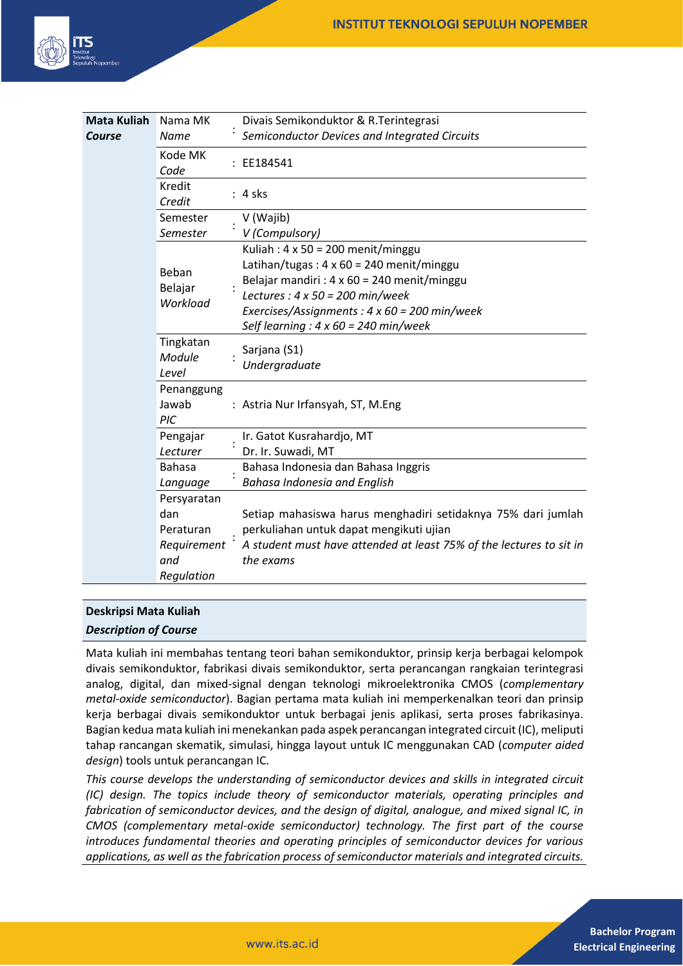

| <b>Mata Kuliah</b> | Nama MK                                                      | Divais Semikonduktor & R. Terintegrasi                                                                                                                                                                                                                                                                                               |
|--------------------|--------------------------------------------------------------|--------------------------------------------------------------------------------------------------------------------------------------------------------------------------------------------------------------------------------------------------------------------------------------------------------------------------------------|
| Course             | <b>Name</b>                                                  | Semiconductor Devices and Integrated Circuits                                                                                                                                                                                                                                                                                        |
|                    | Kode MK<br>Code                                              | EE184541                                                                                                                                                                                                                                                                                                                             |
|                    | Kredit<br>Credit                                             | : 4 sks                                                                                                                                                                                                                                                                                                                              |
|                    | Semester                                                     | V (Wajib)                                                                                                                                                                                                                                                                                                                            |
|                    | Semester                                                     | V (Compulsory)                                                                                                                                                                                                                                                                                                                       |
|                    | Beban<br>Belajar<br>Workload<br>Tingkatan<br>Module<br>Level | Kuliah: $4 \times 50 = 200$ menit/minggu<br>Latihan/tugas: $4 \times 60 = 240$ menit/minggu<br>Belajar mandiri : $4 \times 60 = 240$ menit/minggu<br>Lectures : $4 \times 50 = 200$ min/week<br>Exercises/Assignments: $4 \times 60 = 200$ min/week<br>Self learning : $4 \times 60 = 240$ min/week<br>Sarjana (S1)<br>Undergraduate |
|                    | Penanggung<br>Jawab<br>PIC                                   | : Astria Nur Irfansyah, ST, M.Eng                                                                                                                                                                                                                                                                                                    |
|                    | Pengajar                                                     | Ir. Gatot Kusrahardjo, MT                                                                                                                                                                                                                                                                                                            |
|                    | Lecturer                                                     | Dr. Ir. Suwadi, MT                                                                                                                                                                                                                                                                                                                   |
|                    | <b>Bahasa</b>                                                | Bahasa Indonesia dan Bahasa Inggris                                                                                                                                                                                                                                                                                                  |
|                    | Language                                                     | <b>Bahasa Indonesia and English</b>                                                                                                                                                                                                                                                                                                  |
|                    | Persyaratan                                                  |                                                                                                                                                                                                                                                                                                                                      |
|                    | dan                                                          | Setiap mahasiswa harus menghadiri setidaknya 75% dari jumlah                                                                                                                                                                                                                                                                         |
|                    | Peraturan                                                    | perkuliahan untuk dapat mengikuti ujian                                                                                                                                                                                                                                                                                              |
|                    | Requirement                                                  | A student must have attended at least 75% of the lectures to sit in                                                                                                                                                                                                                                                                  |
|                    | and<br>Regulation                                            | the exams                                                                                                                                                                                                                                                                                                                            |

### **Deskripsi Mata Kuliah**

#### *Description of Course*

Mata kuliah ini membahas tentang teori bahan semikonduktor, prinsip kerja berbagai kelompok divais semikonduktor, fabrikasi divais semikonduktor, serta perancangan rangkaian terintegrasi analog, digital, dan mixed-signal dengan teknologi mikroelektronika CMOS (*complementary metal-oxide semiconductor*). Bagian pertama mata kuliah ini memperkenalkan teori dan prinsip kerja berbagai divais semikonduktor untuk berbagai jenis aplikasi, serta proses fabrikasinya. Bagian kedua mata kuliah ini menekankan pada aspek perancangan integrated circuit (IC), meliputi tahap rancangan skematik, simulasi, hingga layout untuk IC menggunakan CAD (*computer aided design*) tools untuk perancangan IC.

*This course develops the understanding of semiconductor devices and skills in integrated circuit (IC) design. The topics include theory of semiconductor materials, operating principles and fabrication of semiconductor devices, and the design of digital, analogue, and mixed signal IC, in CMOS (complementary metal-oxide semiconductor) technology. The first part of the course introduces fundamental theories and operating principles of semiconductor devices for various applications, as well as the fabrication process of semiconductor materials and integrated circuits.*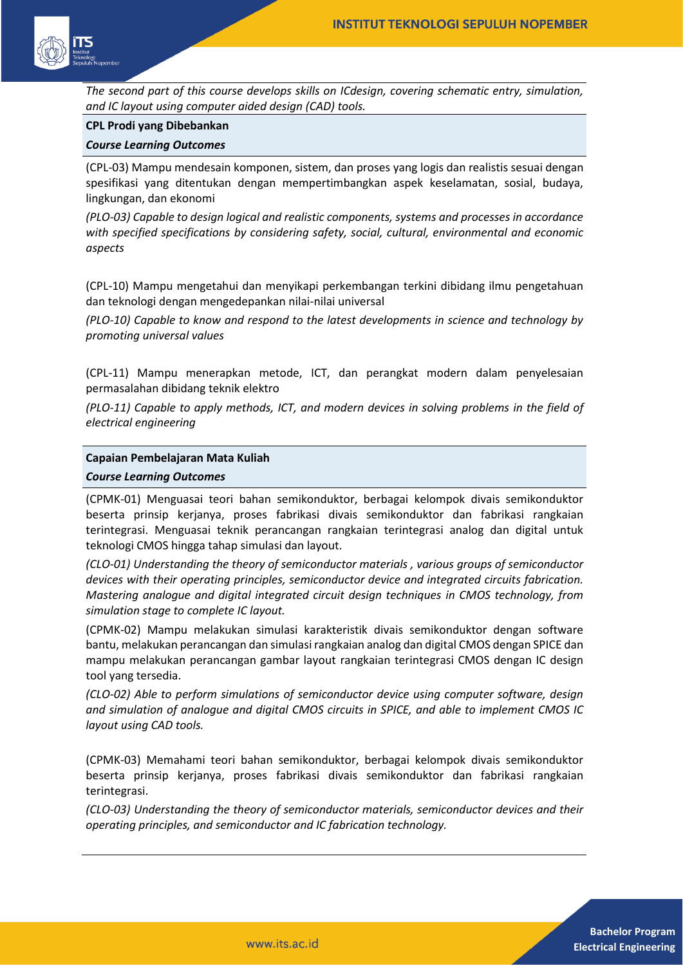

*The second part of this course develops skills on ICdesign, covering schematic entry, simulation, and IC layout using computer aided design (CAD) tools.*

### **CPL Prodi yang Dibebankan**

#### *Course Learning Outcomes*

(CPL-03) Mampu mendesain komponen, sistem, dan proses yang logis dan realistis sesuai dengan spesifikasi yang ditentukan dengan mempertimbangkan aspek keselamatan, sosial, budaya, lingkungan, dan ekonomi

*(PLO-03) Capable to design logical and realistic components, systems and processes in accordance with specified specifications by considering safety, social, cultural, environmental and economic aspects*

(CPL-10) Mampu mengetahui dan menyikapi perkembangan terkini dibidang ilmu pengetahuan dan teknologi dengan mengedepankan nilai-nilai universal

*(PLO-10) Capable to know and respond to the latest developments in science and technology by promoting universal values*

(CPL-11) Mampu menerapkan metode, ICT, dan perangkat modern dalam penyelesaian permasalahan dibidang teknik elektro

*(PLO-11) Capable to apply methods, ICT, and modern devices in solving problems in the field of electrical engineering*

#### **Capaian Pembelajaran Mata Kuliah**

#### *Course Learning Outcomes*

(CPMK-01) Menguasai teori bahan semikonduktor, berbagai kelompok divais semikonduktor beserta prinsip kerjanya, proses fabrikasi divais semikonduktor dan fabrikasi rangkaian terintegrasi. Menguasai teknik perancangan rangkaian terintegrasi analog dan digital untuk teknologi CMOS hingga tahap simulasi dan layout.

*(CLO-01) Understanding the theory of semiconductor materials , various groups of semiconductor devices with their operating principles, semiconductor device and integrated circuits fabrication. Mastering analogue and digital integrated circuit design techniques in CMOS technology, from simulation stage to complete IC layout.*

(CPMK-02) Mampu melakukan simulasi karakteristik divais semikonduktor dengan software bantu, melakukan perancangan dan simulasi rangkaian analog dan digital CMOS dengan SPICE dan mampu melakukan perancangan gambar layout rangkaian terintegrasi CMOS dengan IC design tool yang tersedia.

*(CLO-02) Able to perform simulations of semiconductor device using computer software, design and simulation of analogue and digital CMOS circuits in SPICE, and able to implement CMOS IC layout using CAD tools.*

(CPMK-03) Memahami teori bahan semikonduktor, berbagai kelompok divais semikonduktor beserta prinsip kerjanya, proses fabrikasi divais semikonduktor dan fabrikasi rangkaian terintegrasi.

*(CLO-03) Understanding the theory of semiconductor materials, semiconductor devices and their operating principles, and semiconductor and IC fabrication technology.*